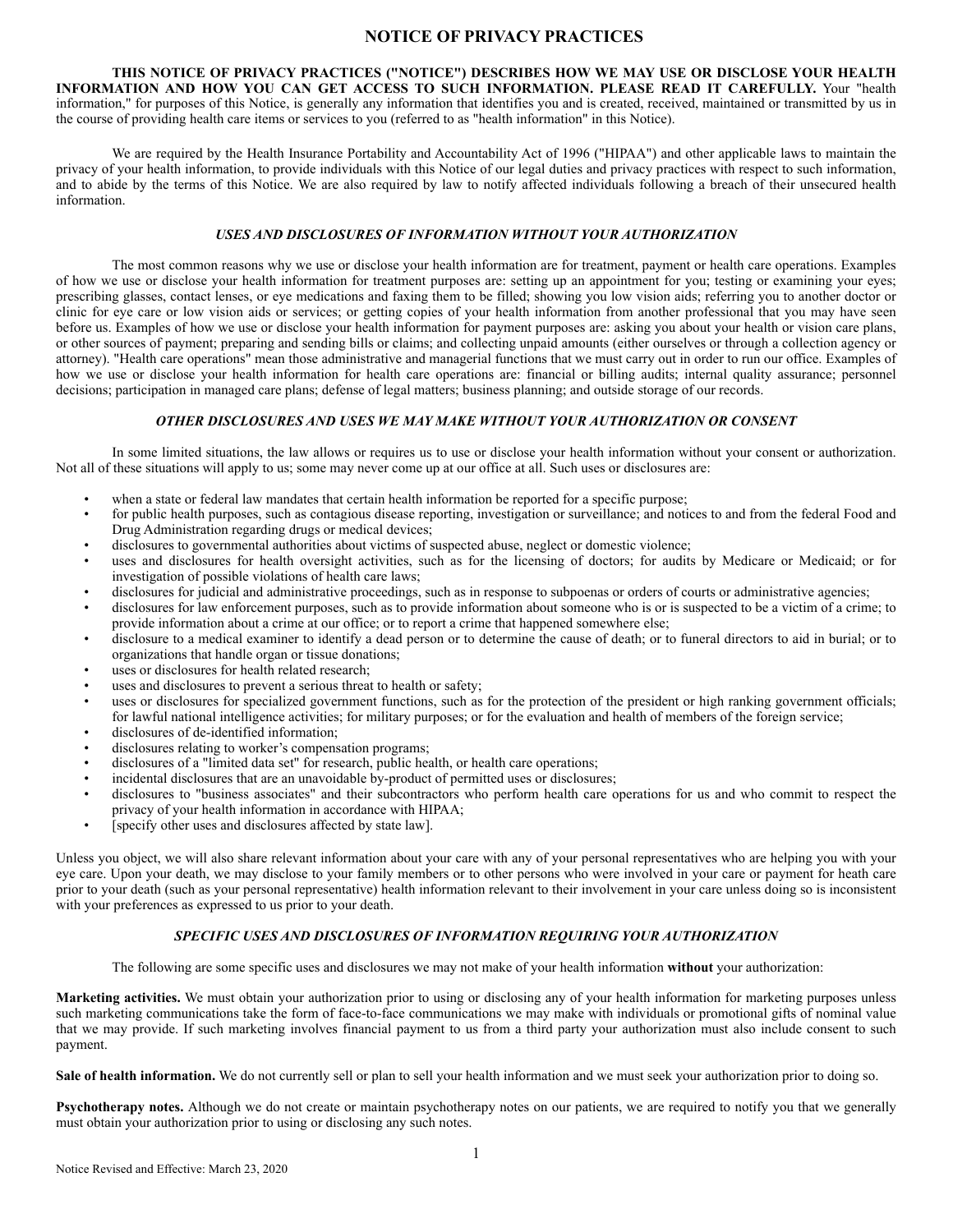# **NOTICE OF PRIVACY PRACTICES**

**THIS NOTICE OF PRIVACY PRACTICES ("NOTICE") DESCRIBES HOW WE MAY USE OR DISCLOSE YOUR HEALTH INFORMATION AND HOW YOU CAN GET ACCESS TO SUCH INFORMATION. PLEASE READ IT CAREFULLY.** Your "health information," for purposes of this Notice, is generally any information that identifies you and is created, received, maintained or transmitted by us in the course of providing health care items or services to you (referred to as "health information" in this Notice).

We are required by the Health Insurance Portability and Accountability Act of 1996 ("HIPAA") and other applicable laws to maintain the privacy of your health information, to provide individuals with this Notice of our legal duties and privacy practices with respect to such information, and to abide by the terms of this Notice. We are also required by law to notify affected individuals following a breach of their unsecured health information.

### *USES AND DISCLOSURES OF INFORMATION WITHOUT YOUR AUTHORIZATION*

The most common reasons why we use or disclose your health information are for treatment, payment or health care operations. Examples of how we use or disclose your health information for treatment purposes are: setting up an appointment for you; testing or examining your eyes; prescribing glasses, contact lenses, or eye medications and faxing them to be filled; showing you low vision aids; referring you to another doctor or clinic for eye care or low vision aids or services; or getting copies of your health information from another professional that you may have seen before us. Examples of how we use or disclose your health information for payment purposes are: asking you about your health or vision care plans, or other sources of payment; preparing and sending bills or claims; and collecting unpaid amounts (either ourselves or through a collection agency or attorney). "Health care operations" mean those administrative and managerial functions that we must carry out in order to run our office. Examples of how we use or disclose your health information for health care operations are: financial or billing audits; internal quality assurance; personnel decisions; participation in managed care plans; defense of legal matters; business planning; and outside storage of our records.

# *OTHER DISCLOSURES AND USES WE MAY MAKE WITHOUT YOUR AUTHORIZATION OR CONSENT*

In some limited situations, the law allows or requires us to use or disclose your health information without your consent or authorization. Not all of these situations will apply to us; some may never come up at our office at all. Such uses or disclosures are:

- when a state or federal law mandates that certain health information be reported for a specific purpose;
- for public health purposes, such as contagious disease reporting, investigation or surveillance; and notices to and from the federal Food and Drug Administration regarding drugs or medical devices;
- disclosures to governmental authorities about victims of suspected abuse, neglect or domestic violence;
- uses and disclosures for health oversight activities, such as for the licensing of doctors; for audits by Medicare or Medicaid; or for investigation of possible violations of health care laws;
- disclosures for judicial and administrative proceedings, such as in response to subpoenas or orders of courts or administrative agencies;
- disclosures for law enforcement purposes, such as to provide information about someone who is or is suspected to be a victim of a crime; to provide information about a crime at our office; or to report a crime that happened somewhere else;
- disclosure to a medical examiner to identify a dead person or to determine the cause of death; or to funeral directors to aid in burial; or to organizations that handle organ or tissue donations;
- uses or disclosures for health related research;
- uses and disclosures to prevent a serious threat to health or safety;
- uses or disclosures for specialized government functions, such as for the protection of the president or high ranking government officials; for lawful national intelligence activities; for military purposes; or for the evaluation and health of members of the foreign service;
- disclosures of de-identified information;
- disclosures relating to worker's compensation programs;
- disclosures of a "limited data set" for research, public health, or health care operations;
- incidental disclosures that are an unavoidable by-product of permitted uses or disclosures;
- disclosures to "business associates" and their subcontractors who perform health care operations for us and who commit to respect the privacy of your health information in accordance with HIPAA;
- [specify other uses and disclosures affected by state law].

Unless you object, we will also share relevant information about your care with any of your personal representatives who are helping you with your eye care. Upon your death, we may disclose to your family members or to other persons who were involved in your care or payment for heath care prior to your death (such as your personal representative) health information relevant to their involvement in your care unless doing so is inconsistent with your preferences as expressed to us prior to your death.

# *SPECIFIC USES AND DISCLOSURES OF INFORMATION REQUIRING YOUR AUTHORIZATION*

The following are some specific uses and disclosures we may not make of your health information **without** your authorization:

**Marketing activities.** We must obtain your authorization prior to using or disclosing any of your health information for marketing purposes unless such marketing communications take the form of face-to-face communications we may make with individuals or promotional gifts of nominal value that we may provide. If such marketing involves financial payment to us from a third party your authorization must also include consent to such payment.

**Sale of health information.** We do not currently sell or plan to sell your health information and we must seek your authorization prior to doing so.

**Psychotherapy notes.** Although we do not create or maintain psychotherapy notes on our patients, we are required to notify you that we generally must obtain your authorization prior to using or disclosing any such notes.